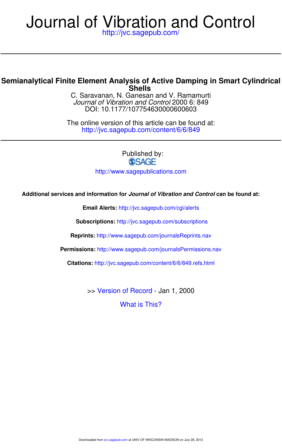# http://jvc.sagepub.com/ Journal of Vibration and Control

# **Shells Semianalytical Finite Element Analysis of Active Damping in Smart Cylindrical**

DOI: 10.1177/107754630000600603 Journal of Vibration and Control 2000 6: 849 C. Saravanan, N. Ganesan and V. Ramamurti

http://jvc.sagepub.com/content/6/6/849 The online version of this article can be found at:

Published by:<br>
SAGE

http://www.sagepublications.com

### **Additional services and information for Journal of Vibration and Control can be found at:**

**Email Alerts:** http://jvc.sagepub.com/cgi/alerts

**Subscriptions:** http://jvc.sagepub.com/subscriptions

**Reprints:** http://www.sagepub.com/journalsReprints.nav

**Permissions:** http://www.sagepub.com/journalsPermissions.nav

**Citations:** http://jvc.sagepub.com/content/6/6/849.refs.html

>> Version of Record - Jan 1, 2000

What is This?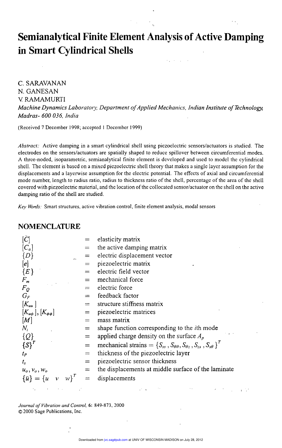# Semianalytical Finite Element Analysis of Active Damping in Smart Cylindrical Shells

C. SARAVANAN N. GANESAN V RAMAMURTI Machine Dynamics Laboratory, Department of Applied Mechanics, Indian Institute of Technology, Madras- 600 036, India

(Received 7 December 1998; accepted I December 1999)

Abstract: Active damping in a smart cylindrical shell using piezoelectric sensors/actuators is studied. The electrodes on the sensors/actuators are spatially shaped to reduce spillover between circumferential modes. A three-noded, isoparametric, semianalytical finite element is developed and used to model the cylindrical shell. The element is based on a mixed piezoelectric shell theory that makes a single layer assumption for the displacements and a layerwise assumption for the electric potential. The effects of axial and circumferential mode number, length to radius ratio, radius to thickness ratio of the shell, percentage of the area of the shell covered with piezoelectric material, and the location of the collocated sensor/actuator on the shell on the active damping ratio of the shell are studied.

Key Words: Smart structures, active vibration control, finite element analysis, modal sensors

#### NOMENCLATURE

| $ \tilde{C} $                       |     | elasticity matrix                                                                        |
|-------------------------------------|-----|------------------------------------------------------------------------------------------|
| $[C_a]$                             |     | the active damping matrix                                                                |
| $\{D\}$                             |     | $=$ electric displacement vector                                                         |
| [e]                                 |     | $=$ piezoelectric matrix                                                                 |
| ${E}$                               |     | electric field vector                                                                    |
| $F_m$                               | $=$ | mechanical force                                                                         |
| $F_{O}$                             |     | electric force                                                                           |
| $G_F$                               |     | feedback factor                                                                          |
| $[K_{uu}]$                          | $=$ | structure stiffness matrix                                                               |
| $[K_{\mu\phi}], [K_{\phi\phi}]$     | $=$ | piezoelectric matrices                                                                   |
| [M]                                 |     | mass matrix                                                                              |
| $N_i$                               | $=$ | shape function corresponding to the <i>i</i> th mode                                     |
| $\{Q\}$                             | $=$ | applied charge density on the surface $A_p$                                              |
| ${S}^T$                             | $=$ | mechanical strains = $\{S_{ss}, S_{\theta\theta}, S_{\theta z}, S_{zs}, S_{s\theta}\}^T$ |
| $t_{P}$                             | $=$ | thickness of the piezoelectric layer                                                     |
| $t_{\rm s}$                         | $=$ | piezoelectric sensor thickness                                                           |
| $u_o, v_o, w_o$                     | $=$ | the displacements at middle surface of the laminate                                      |
| w'<br>$\{\bar{u}\} = \{u \quad v\}$ | $=$ | displacements                                                                            |
|                                     |     |                                                                                          |

Journal of Vibration and Control, 6: 849-873, 2000 © 2000 Sage Publications, Inc.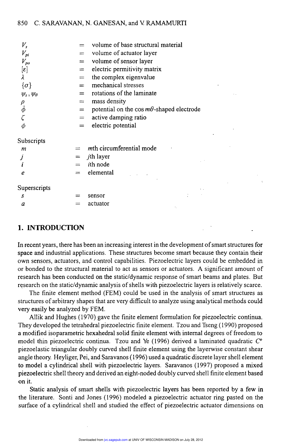| $V_{s}$               | $=$ | volume of base structural material               |
|-----------------------|-----|--------------------------------------------------|
| $V_{pi}$              | $=$ | volume of actuator layer                         |
| $V_{po}$              | $=$ | volume of sensor layer                           |
| $[\varepsilon]$       | $=$ | electric permitivity matrix                      |
| λ                     | $=$ | the complex eigenvalue                           |
| $\{\sigma\}$          | $=$ | mechanical stresses                              |
| $\psi_s, \psi_\theta$ | $=$ | rotations of the laminate                        |
|                       | $=$ | mass density                                     |
| $\rho$ $\bar{\phi}$   | $=$ | potential on the cos $m\theta$ -shaped electrode |
|                       | $=$ | active damping ratio                             |
|                       | $=$ | electric potential                               |
| Subscripts            |     |                                                  |
| m                     |     | mth circumferential mode                         |
|                       |     | $=$ <i>i</i> th layer                            |
| i                     |     | <i>i</i> th node                                 |
| e                     | $=$ | elemental                                        |
| Superscripts          |     |                                                  |
| S                     |     | sensor                                           |
| a                     |     | actuator                                         |
|                       |     |                                                  |

### 1. INTRODUCTION .

In recent years, there has been an increasing interest in the development of smart structures for space and industrial applications. These structures become smart because they contain their own sensors, actuators, and control capabilities. Piezoelectric layers could be embedded in or bonded to the structural material to act as sensors or actuators. A significant amount of research has been conducted on the static/dynamic response of smart beams and plates. But research on the static/dynamic analysis of shells with piezoelectric layers is relatively scarce.

\_

The finite element method (FEM) could be used in the analysis of smart structures as structures of arbitrary shapes that are very difficult to analyze using analytical methods could very easily be analyzed by FEM.

Allik and Hughes (1970) gave the finite element formulation for piezoelectric continua. They developed the tetrahedral piezoelectric finite element. Tzou and Tseng (1990) proposed <sup>a</sup>modified isoparametric hexahedral solid finite element with internal degrees of freedom to model thin piezoelectric continua. Tzou and Ye (1996) derived a laminated quadratic  $C^{\circ}$ piezoelastic triangular doubly curved shell finite element using the layerwise constant shear angle theory. Heyliger, Pei, and Saravanos (1996) used a quadratic discrete layer shell element to model a cylindrical shell with piezoelectric layers. Saravanos (1997) proposed a mixed piezoelectric shell theory and derived an eight-noded doubly curved shell finite element based on it.

Static analysis of smart shells with piezoelectric layers has been reported by a few in the literature. Sonti and Jones (1996) modeled a piezoelectric actuator ring pasted on the surface of a cylindrical shell and studied the effect of piezoelectric actuator dimensions on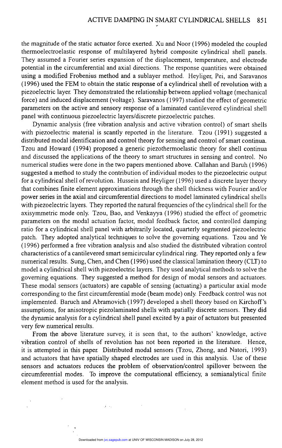the magnitude of the static actuator force exerted. Xu and Noor (1996) modeled the coupled thermoelectroelastic response of multilayered hybrid composite cylindrical shell panels. They assumed a Fourier series expansion of the displacement, temperature, and electrode potential in the circumferential and axial directions. The response quantities were obtained using a modified Frobenius method and a sublayer method. Heyliger, Pei, and Saravanos (1996) used the FEM to obtain the static response of a cylindrical shell of revolution with <sup>a</sup> piezoelectric layer. They demonstrated the relationship between applied voltage (mechanical force) and induced displacement (voltage). Saravanos (1997) studied the effect of geometric parameters on the active and sensory response of a laminated cantilevered cylindrical shell panel with continuous piezoelectric layers/discrete piezoelectric patches.

Dynamic analysis (free vibration analysis and active vibration control) of smart shells with piezoelectric material is scantly reported in the literature. Tzou (1991) suggested <sup>a</sup> distributed modal identification and control theory for sensing and control of smart continua. Tzou and Howard (1994) proposed a generic piezothermoelastic theory for shell continua and discussed the applications of the theory to smart structures in sensing and control. No numerical studies were done in the two papers mentioned above. Callahan and Baruh (1996) suggested a method to study the contribution of individual modes to the piezoelectric output for a cylindrical shell of revolution. Hussein and Heyliger (1996) used a discrete layer theory that combines finite element approximations through the shell thickness with Fourier and/or power series in the axial and circumferential directions to model laminated cylindrical shells with piezoelectric layers. They reported the natural frequencies of the cylindrical shell for the axisymmetric mode only. Tzou, Bao, and Venkayya (1996) studied the effect of geometric parameters on the modal actuation factor, modal feedback factor, and controlled damping ratio for a cylindrical shell panel with arbitrarily located, quarterly segmented piezoelectric patch. They adopted analytical techniques to solve the governing equations. Tzou and Ye (1996) performed a free vibration analysis and also studied the distributed vibration control characteristics of a cantilevered smart semicircular cylindrical ring. They reported only a few numerical results. Sung, Chen, and Chen (1996) used the classical lamination theory (CLT) to model a cylindrical shell with piezoelectric layers. They used analytical methods to solve the governing equations. They suggested a method for design of modal sensors and actuators. These modal sensors (actuators) are capable of sensing (actuating) a particular axial mode corresponding to the first circumferential mode (beam mode) only Feedback control was not implemented. Baruch and Abramovich (1997) developed a shell theory based on Kirchoff's assumptions, for anisotropic piezolaminated shells with spatially discrete sensors. They did the dynamic analysis for a cylindrical shell panel excited by a pair of actuators but presented very few numerical results.

From the above literature survey, it is seen that, to the authors' knowledge, active vibration control of shells of revolution has not been reported in the literature. Hence, it is attempted in this paper. Distributed modal sensors (Tzou, Zhong, and Natori, 1993) and actuators that have spatially shaped electrodes are used in this analysis. Use of these sensors and actuators reduces the problem of observation/control spillover between the circumferential modes. To improve the computational efficiency, a semianalytical finite element method is used for the analysis.

 $\mathbf{y} = \mathbf{y}_1 \in \mathbb{R}^n$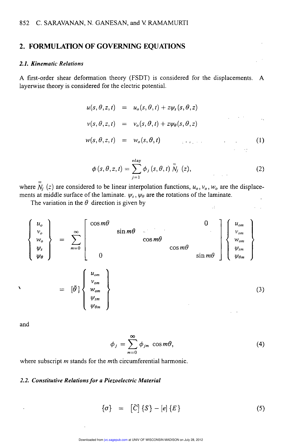### 2. FORMULATION OF GOVERNING EQUATIONS

### 2.1. Kinematic Relations

A first-order shear deformation theory (FSDT) is considered for the displacements. A layerwise theory is considered for the electric potential.

$$
u(s, \theta, z, t) = u_o(s, \theta, t) + z \psi_s(s, \theta, z)
$$
  

$$
v(s, \theta, z, t) = v_o(s, \theta, t) + z \psi_\theta(s, \theta, z)
$$
  

$$
w(s, \theta, z, t) = w_o(s, \theta, t)
$$
 (1)

$$
\phi\left(s,\theta,z,t\right)=\sum_{j=1}^{\text{nlay}}\phi_{j}\left(s,\theta,t\right)\stackrel{=}{N_{j}}\left(z\right),\tag{2}
$$

where  $\overline{N}_i$  (z) are considered to be linear interpolation functions,  $u_0, v_0, w_0$  are the displacements at middle surface of the laminate.  $\psi_s$ ,  $\psi_\theta$  are the rotations of the laminate.

The variation in the  $\theta$  direction is given by



and

$$
\phi_j = \sum_{m=0}^{\infty} \phi_{jm} \cos m\theta, \tag{4}
$$

where subscript  $m$  stands for the  $m$ th circumferential harmonic.

#### 2.2. Constitutive Relations for a Piezoelectric Material

$$
\begin{array}{rcl} \n(\sigma) & = & [\bar{C}] \{S\} - [e] \{E\} \n\end{array} \tag{5}
$$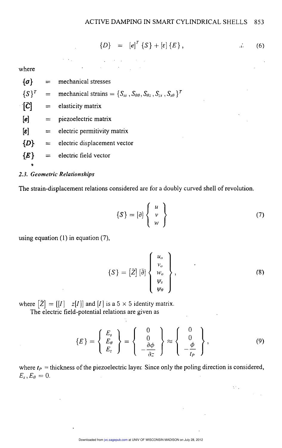$$
\{D\} = [e]^T \{S\} + [e] \{E\}, \tag{6}
$$

where

 $\{\sigma\}$  = mechanical stresses  $\{S\}^T$  = mechanical strains =  $\{S_{ss}, S_{\theta\theta}, S_{\theta\zeta}, S_{ss}, S_{s\theta}\}^T$  $[\vec{C}]$  = elasticity matrix  $[e]$  = piezoelectric matrix  $\epsilon$  = electric permitivity matrix  ${D} =$  electric displacement vector  ${E}$  = electric field vector 9

### 2.3. Geometric Relationships

The strain-displacement relations considered are for a doubly curved shell of revolution.

' '

$$
\{S\} = [\partial] \left\{ \begin{array}{c} u \\ v \\ w \end{array} \right\} \tag{7}
$$

using equation (1) in equation (7),

$$
\{S\} = \left[\bar{Z}\right] \left[\bar{\partial}\right] \left\{ \begin{array}{c} u_o \\ v_o \\ w_o \\ \psi_s \\ \psi_\theta \end{array} \right\}, \tag{8}
$$

. 'Adquisite and the second second second

 $\mathcal{S}_{\mathcal{A}}$  ,

where  $[\overline{Z}] = [[I] \quad z[I]]$  and [I] is a 5  $\times$  5 identity matrix.

The electric field-potential relations are given as

$$
\begin{bmatrix}\n\psi_s \\
\psi_\theta\n\end{bmatrix}
$$
\n= [[I] z[I]] and [I] is a 5 × 5 identity matrix.  
\n**ectric field-potential relations are given as**\n
$$
\{E\} = \begin{Bmatrix} E_s \\ E_\theta \\ E_z \end{Bmatrix} = \begin{Bmatrix} 0 \\ 0 \\ -\frac{\partial \phi}{\partial z} \end{Bmatrix} \approx \begin{Bmatrix} 0 \\ 0 \\ -\frac{\phi}{t_P} \end{Bmatrix},
$$
\n(9)\n
$$
\text{thickness of the piezoelectric layer. Since only the poling direction is considered,}
$$
\n
$$
\begin{bmatrix}\n0 \\
0\n\end{bmatrix}
$$

where  $t_P$  = thickness of the piezoelectric layer. Since only the poling direction is considered,  $E_s,E_\theta=0.$ direction is considered,<br>
since<br>
the considered,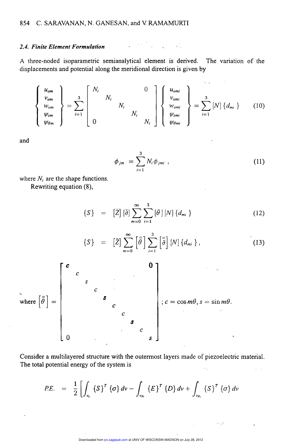#### 2.4. Finite Element Formulation

A three-noded isoparametric semianalytical element is derived. The variation of the displacements and potential along the meridional direction is given by

**COM** 

$$
\begin{Bmatrix}\nu_{om} \\ \nu_{om} \\ \psi_{om} \\ \psi_{om}\end{Bmatrix} = \sum_{i=1}^{3} \begin{bmatrix}\nN_i & & & 0 \\
& N_i & & \\
& & N_i & \\
& & & N_i & \\
0 & & & N_i & \\
0 & & & & N_i\n\end{bmatrix} \begin{Bmatrix}\nu_{omi} \\ \nu_{omi} \\ \psi_{omi} \\ \psi_{omi} \\ \psi_{omi}\end{Bmatrix} = \sum_{i=1}^{3} [N] \{d_{mi}\}\n\tag{10}
$$

...

and

$$
\phi_{jm} = \sum_{i=1}^{3} N_i \phi_{jm i} , \qquad (11)
$$

 $\mathcal{L}$ 

53 L.P

where  $N_i$  are the shape functions.

Rewriting equation (8),

$$
\{S\} = \left[\bar{Z}\right] \left[\bar{\partial}\right] \sum_{m=0}^{\infty} \sum_{i=1}^{3} \left[\bar{\partial}\right] \left[N\right] \left\{d_{mi}\right\} \tag{12}
$$

$$
\{S\} = \left[\bar{Z}\right] \sum_{m=0}^{\infty} \left[\bar{\bar{\theta}}\right] \sum_{i=1}^{3} \left[\bar{\bar{\theta}}\right] [N] \left\{d_{mi}\right\},\tag{13}
$$



Consider a multilayered structure with the outermost layers made of piezoelectric material. The total potential energy of the system is

$$
PE. = \frac{1}{2} \left[ \int_{\nu_{s}} \left\{ S \right\}^{T} \left\{ \sigma \right\} d\nu - \int_{\nu_{p_{i}}} \left\{ E \right\}^{T} \left\{ D \right\} d\nu + \int_{\nu_{p_{i}}} \left\{ S \right\}^{T} \left\{ \sigma \right\} d\nu
$$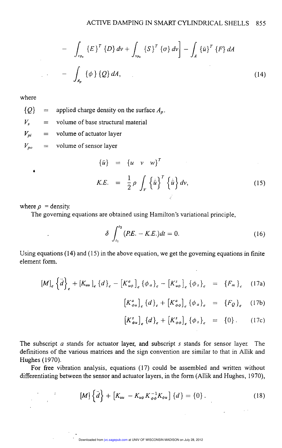$$
- \int_{v_{p_0}} \{E\}^T \{D\} dv + \int_{v_{p_0}} \{S\}^T \{ \sigma \} dv \Big] - \int_A \{ \bar{u} \}^T \{F\} dA
$$
  
- 
$$
- \int_{A_p} \{ \phi \} \{Q\} dA,
$$
 (14)

where

 $\mathcal{L}^{\text{max}}$ 

 ${Q}$  = applied charge density on the surface  $A_p$ .

 $V_s$  = volume of base structural material

 $V_{pi}$  = volume of actuator layer

 $V_{po}$  = volume of sensor layer

$$
\{\bar{u}\} = \{u \quad v \quad w\}^T
$$
  
\n
$$
K.E. = \frac{1}{2}\rho \int_V \{\dot{\bar{u}}\}^T \{\dot{\bar{u}}\} dv,
$$
\n(15)

where  $\rho$  = density.

 $\sim 10^{-11}$ 

 $\sim$  1

 $\sigma_{\rm{max}}=10^{-10}$ 

 $\blacksquare$ 

The governing equations are obtained using Hamilton's variational principle,

$$
\delta \int_{t_1}^{t_2} (PE. - K.E.) dt = 0.
$$
 (16)

Using equations  $(14)$  and  $(15)$  in the above equation, we get the governing equations in finite element form.

$$
[M]_e \left\{\ddot{d}\right\}_e + [K_{uu}]_e \left\{d\right\}_e - \left[K_{u\phi}^a\right]_e \left\{\phi_a\right\}_e - \left[K_{u\phi}^s\right]_e \left\{\phi_s\right\}_e = \left\{F_m\right\}_e \quad (17a)
$$

$$
[K^{a}_{\phi u}]_{e} \{d\}_{e} + [K^{a}_{\phi \phi}]_{e} \{\phi_{a}\}_{e} = \{F_{Q}\}_{e} \quad (17b)
$$

$$
\left[K_{\phi u}^{s}\right]_{e} \{d\}_{e} + \left[K_{\phi \phi}^{s}\right]_{e} \{\phi_{s}\}_{e} = \{0\}.
$$
 (17c)

 $\sim 10^{11}$  and  $\sim 10^{11}$ 

The subscript  $a$  stands for actuator layer, and subscript  $s$  stands for sensor layer. The definitions of the various matrices and the sign convention are similar to that in Allik and Hughes ( 1970).

For free vibration analysis, equations (17) could be assembled and written without differentiating between the sensor and actuator layers, in the form (Allik and Hughes, 1970),

$$
[M] \left\{ \ddot{d} \right\} + \left[ K_{uu} - K_{u\phi} K_{\phi\phi}^{-1} K_{\phi u} \right] \left\{ d \right\} = \left\{ 0 \right\} . \tag{18}
$$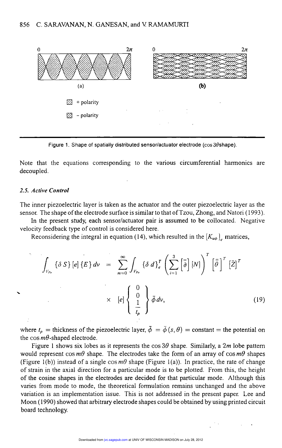

Figure 1. Shape of spatially distributed sensor/actuator electrode ( $\cos 3\theta$ shape).

Note that the equations corresponding to the various circumferential harmonics are decoupled.

#### 2.5. Active Control

The inner piezoelectric layer is taken as the actuator and the outer piezoelectric layer as the sensor. The shape of the electrode surface is similar to that of Tzou, Zhong, and Natori ( 1993).

In the present study, each sensor/actuator pair is assumed to be collocated. Negative velocity feedback type of control is considered here.

Reconsidering the integral in equation (14), which resulted in the  $[K_{\mu\phi}]$  matrices,

$$
\int_{V_{p_0}} {\delta S} \left[ e \right] {\{E} \} dv = \sum_{m=0}^{\infty} \int_{V_{p_0}} {\delta d} {\}^r \left( \sum_{i=1}^3 \left[ \bar{\partial} \right] [N] \right)^r \left[ \bar{\partial} \right]^r \left[ \bar{Z} \right]^r
$$
\n
$$
\times \quad [e] \left\{ \begin{array}{c} 0 \\ 0 \\ \frac{1}{t_p} \end{array} \right\} \bar{\phi} dv,
$$
\n(19)

where  $t_p$  = thickness of the piezoelectric layer,  $\bar{\phi} = \bar{\phi}(s, \theta) = \text{constant} = \text{the potential on}$ the cos  $m\theta$ -shaped electrode.

Figure 1 shows six lobes as it represents the cos  $3\theta$  shape. Similarly, a 2m lobe pattern would represent cos  $m\theta$  shape. The electrodes take the form of an array of cos  $m\theta$  shapes (Figure 1(b)) instead of a single cos  $m\theta$  shape (Figure 1(a)). In practice, the rate of change of strain in the axial direction for a particular mode is to be plotted. From this, the height of the cosine shapes in the electrodes are decided for that particular mode. Although this varies from mode to mode, the theoretical formulation remains unchanged and the above variation is an implementation issue. This is not addressed in the present paper. Lee and Moon (1990) showed that arbitrary electrode shapes could be obtained by using printed circuit board technology.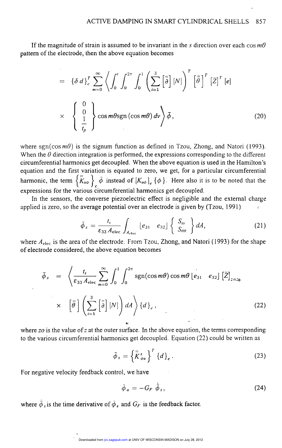If the magnitude of strain is assumed to be invariant in the s direction over each cos  $m\theta$ pattern of the electrode, then the above equation becomes

$$
= \{\delta d\}_{c}^{T} \sum_{m=0}^{\infty} \left\langle \int_{0}^{t} \int_{0}^{2\pi} \int_{0}^{1} \left( \sum_{i=1}^{3} \left[ \bar{\bar{\theta}} \right] [N] \right)^{T} \left[ \bar{\bar{\theta}} \right]^{T} \left[ \bar{Z} \right]^{T} [e]
$$

$$
\times \left\{ \begin{array}{c} 0 \\ 0 \\ \frac{1}{t_{p}} \end{array} \right\} \cos m\theta \text{sgn} \left( \cos m\theta \right) dv \right\} \bar{\phi}, \qquad (20)
$$

where sgn( $\cos m\theta$ ) is the signum function as defined in Tzou, Zhong, and Natori (1993). When the  $\theta$  direction integration is performed, the expressions corresponding to the different circumferential harmonics get decoupled. When the above equation is used in the Hamilton's equation and the first variation is equated to zero, we get, for a particular circumferential harmonic, the term  ${K_{u\phi}}_e$   $\phi$  instead of  ${K_{u\phi}}_e$   $\phi$ . Here also it is to be noted that the expressions for the various circumferential harmonics get decoupled.

In the sensors, the converse piezoelectric effect is negligible and the external charge applied is zero, so the average potential over an electrode is given by  $(Tzou, 1991)$  .

$$
\bar{\phi}_s = \frac{t_s}{\varepsilon_{33} A_{\text{elec}}} \int_{A_{\text{elec}}} \left[ e_{31} \quad e_{32} \right] \left\{ \begin{array}{c} S_{ss} \\ S_{\theta\theta} \end{array} \right\} dA, \tag{21}
$$

where  $A_{elec}$  is the area of the electrode. From Tzou, Zhong, and Natori (1993) for the shape of electrode considered, the above equation becomes

$$
\bar{\phi}_{s} = \left\langle \frac{t_{s}}{\varepsilon_{33} A_{\text{elec}}} \sum_{m=0}^{\infty} \int_{0}^{1} \int_{0}^{2\pi} \text{sgn}(\cos m\theta) \cos m\theta \left[ e_{31} \quad e_{32} \right] \left[ \bar{Z} \right]_{z=z_{0}} \right.
$$
\n
$$
\times \quad \left[ \bar{\theta} \right] \left( \sum_{i=1}^{3} \left[ \bar{\bar{\theta}} \right] [N] \right) dA \right\rangle \{ d \}_{c}, \tag{22}
$$

where zo is the value of z at the outer surface. In the above equation, the terms corresponding to the various circumferential harmonics get decoupled. Equation (22) could be written as

$$
\bar{\phi}_s = \left\{ \bar{\tilde{K}}_{\phi u}^s \right\}^T \left\{ d \right\}_e \,. \tag{23}
$$

For negative velocity feedback control, we have

$$
\bar{\phi}_a = -G_F \bar{\phi}_s, \qquad (24)
$$

where  $\bar{\phi}_s$  is the time derivative of  $\bar{\phi}_s$  and  $G_F$  is the feedback factor.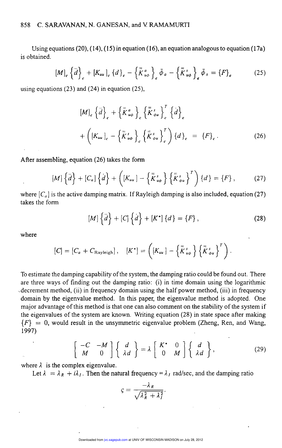Using equations (20), (14), (15) in equation (16), an equation analogous to equation (17a) is obtained.

$$
[M]_e \left\{\ddot{d}\right\}_e + [K_{uu}]_e \left\{d\right\}_e - \left\{\bar{\overline{K}}_{u\phi}^a\right\}_e \bar{\phi}_a - \left\{\bar{\overline{K}}_{u\phi}^s\right\}_e \bar{\phi}_s = \left\{F\right\}_e \tag{25}
$$

using equations (23) and (24) in equation (25),

$$
[M]_e \left\{\ddot{d}\right\}_e + \left\{\bar{K}^a_{u\phi}\right\}_e \left\{\bar{K}^s_{\phi u}\right\}_e^T \left\{\dot{d}\right\}_e
$$
  
+ 
$$
\left([K_{uu}]_e - \left\{\bar{K}^s_{u\phi}\right\}_e \left\{\bar{K}^s_{\phi u}\right\}_e^T\right\} \left\{d\right\}_e = \left\{F\right\}_e.
$$
 (26)

After assembling, equation (26) takes the form

$$
[M] \left\{ \ddot{d} \right\} + [C_a] \left\{ \dot{d} \right\} + \left( [K_{uu}] - \left\{ \bar{\bar{K}}_{u\phi}^s \right\} \left\{ \bar{\bar{K}}_{\phi u}^s \right\}^T \right) \left\{ d \right\} = \left\{ F \right\}, \tag{27}
$$

where  $[C_a]$  is the active damping matrix. If Rayleigh damping is also included, equation (27) takes the form

$$
[M] {\tilde d} + [C] {\tilde d} + [K^*] {d} = {F}, \qquad (28)
$$

where

$$
[C] = [C_a + C_{\text{Rayleigh}}], \quad [K^*] = \left( [K_{uu}] - \left\{ \overline{K}_{u\phi}^s \right\} \left\{ \overline{K}_{\phi u}^s \right\}^T \right)
$$

To estimate the damping capability of the system, the damping ratio could be found out. There are three ways of finding out the damping ratio: (i) in time domain using the logarithmic .decrement method, (ii) in frequency domain using the half power method, (iii) in frequency domain by the eigenvalue method. In this paper, the eigenvalue method is adopted. One major advantage of this method is that one can also comment on the stability of the system if the eigenvalues of the system are known. Writing equation (28) in state space after making  ${F} = 0$ , would result in the unsymmetric eigenvalue problem (Zheng, Ren, and Wang, 1997)  $(1997)$  , and the contract of the contract of the contract of the contract of the contract of the contract of the contract of the contract of the contract of the contract of the contract of the contract of the contract o

$$
\left[\begin{array}{cc} -C & -M \\ M & 0 \end{array}\right] \left\{\begin{array}{c} d \\ \lambda d \end{array}\right\} = \lambda \left[\begin{array}{cc} K^* & 0 \\ 0 & M \end{array}\right] \left\{\begin{array}{c} d \\ \lambda d \end{array}\right\},
$$
 (29)

where  $\lambda$  is the complex eigenvalue.

Let  $\lambda = \lambda_R + i\lambda_I$ . Then the natural frequency =  $\lambda_I$  rad/sec, and the damping ratio

$$
\varsigma = \frac{-\lambda_R}{\sqrt{\lambda_R^2 + \lambda_I^2}}.
$$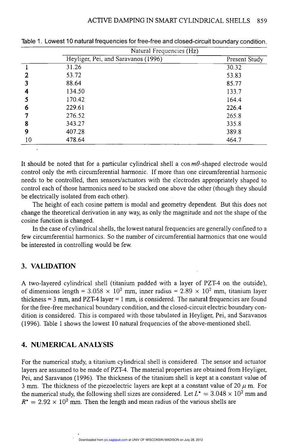|    | Natural Frequencies (Hz)            |               |  |
|----|-------------------------------------|---------------|--|
|    | Heyliger, Pei, and Saravanos (1996) | Present Study |  |
|    | 31.26                               | 30.32         |  |
|    | 53.72                               | 53.83         |  |
|    | 88.64                               | 85.77         |  |
|    | 134.50                              | 133.7         |  |
|    | 170.42                              | 164.4         |  |
| 6  | 229.61                              | 226.4         |  |
|    | 276.52                              | 265.8         |  |
| 8  | 343.27                              | 335.8         |  |
| 9  | 407.28                              | 389.8         |  |
| 10 | 478.64                              | 464.7         |  |

Table 1. Lowest 10 natural frequencies for free-free and closed-circuit boundary condition. - .. - ..- - .

It should be noted that for a particular cylindrical shell a  $\cos m\theta$ -shaped electrode would control only the mth circumferential harmonic. If more than one circumferential harmonic needs to be controlled, then sensors/actuators with the electrodes appropriately shaped to control each of those harmonics need to be stacked one above the other (though they should be electrically isolated from each other).

The height of each cosine pattern is modal and geometry dependent. But this does not change the theoretical derivation in any way, as only the magnitude and not the shape of the cosine function is changed.

In the case of cylindrical shells, the lowest natural frequencies are generally confined to a few circumferential harmonics. So the number of circumferential harmonics that one would be interested in controlling would be few.

# 3. VALIDATION

A two-layered cylindrical shell (titanium padded with a layer of PZT-4 on the outside), of dimensions length =  $3.058 \times 10^2$  mm, inner radius =  $2.89 \times 10^2$  mm, titanium layer thickness  $= 3$  mm, and PZT-4 layer  $= 1$  mm, is considered. The natural frequencies are found for the free-free mechanical boundary condition, and the closed-circuit electric boundary condition is considered. This is compared with those tabulated in Heyliger, Pei, and Saravanos (1996). Table 1 shows the lowest 10 natural frequencies of the above-mentioned shell.

# 4. NUMERICAL ANALYSIS

For the numerical study, a titanium cylindrical shell is considered. The sensor and actuator layers are assumed to be made of PZT-4. The material properties are obtained from Heyliger, Pei, and Saravanos (1996). The thickness of the titanium shell is kept at a constant value of 3 mm. The thickness of the piezoelectric layers are kept at a constant value of 20  $\mu$  m. For the numerical study, the following shell sizes are considered. Let  $L^* = 3.048 \times 10^2$  mm and  $R^* = 2.92 \times 10^2$  mm. Then the length and mean radius of the various shells are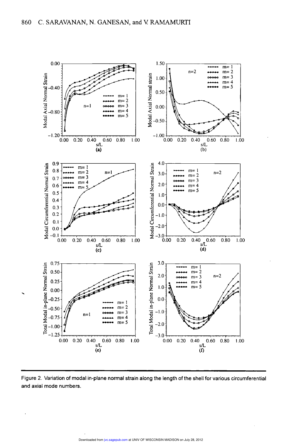

Figure 2. Variation of modal in-plane normal strain along the length of the shell for various circumferential and axial mode numbers.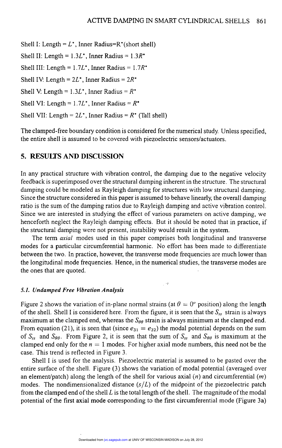Shell I: Length =  $L^*$ , Inner Radius=R\*(short shell)

Shell II: Length =  $1.3L^*$ , Inner Radius =  $1.3R^*$ 

Shell III: Length =  $1.7L^*$ , Inner Radius =  $1.7R^*$ 

Shell IV: Length =  $2L^*$ , Inner Radius =  $2R^*$ 

Shell V: Length =  $1.3L^*$ , Inner Radius =  $R^*$ 

Shell VI: Length =  $1.7L^*$ , Inner Radius =  $R^*$ 

Shell VII: Length =  $2L^*$ , Inner Radius =  $R^*$  (Tall shell)

The clamped-free boundary condition is considered for the numerical study. Unless specified, the entire shell is assumed to be covered with piezoelectric sensors/actuators.

### 5. RESULTS AND DISCUSSION .

In any practical structure with vibration control, the damping due to the negative velocity feedback is superimposed over the structural damping inherent in the structure. The structural damping could be modeled as Rayleigh damping for structures with low structural damping. Since the structure considered in this paper is assumed to behave linearly, the overall damping ratio is the sum of the damping ratios due to Rayleigh damping and active vibration control. Since we are interested in studying the effect of various parameters on active damping, we henceforth neglect the Rayleigh damping effects. But it should be noted that in practice, if the structural damping were not present, instability would result in the system.

The term *axial* modes used in this paper comprises both longitudinal and transverse modes for a particular circumferential harmonic. No effort has been made to differentiate between the two. In practice, however, the transverse mode frequencies are much lower than the longitudinal mode frequencies. Hence, in the numerical studies, the transverse modes are the ones that are quoted.

'

### 5.1. Undamped Free Vibration Analysis

Figure 2 shows the variation of in-plane normal strains (at  $\theta = 0^{\circ}$  position) along the length of the shell. Shell I is considered here. From the figure, it is seen that the  $S_{ss}$  strain is always maximum at the clamped end, whereas the  $S_{\theta\theta}$  strain is always minimum at the clamped end. From equation (21), it is seen that (since  $e_{31} = e_{32}$ ) the modal potential depends on the sum of  $S_{ss}$  and  $S_{\theta\theta}$ . From Figure 2, it is seen that the sum of  $S_{ss}$  and  $S_{\theta\theta}$  is maximum at the clamped end only for the  $n = 1$  modes. For higher axial mode numbers, this need not be the case. This trend is reflected in Figure 3.

Shell I is used for the analysis. Piezoelectric material is assumed to be pasted over the entire surface of the shell. Figure (3) shows the variation of modal potential (averaged over an element/patch) along the length of the shell for various axial  $(n)$  and circumferential  $(m)$ modes. The nondimensionalized distance  $(s/L)$  of the midpoint of the piezoelectric patch from the clamped end of the shell  $L$  is the total length of the shell. The magnitude of the modal potential of the first axial mode corresponding to the first circumferential mode (Figure 3a)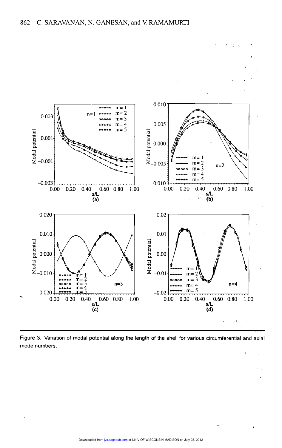

Figure 3. Variation of modal potential along the length of the shell for various circumferential and axial mode numbers.  $\label{eq:2.1} \frac{1}{2} \sum_{i=1}^n \frac{1}{2} \sum_{j=1}^n \frac{1}{2} \sum_{j=1}^n \frac{1}{2} \sum_{j=1}^n \frac{1}{2} \sum_{j=1}^n \frac{1}{2} \sum_{j=1}^n \frac{1}{2} \sum_{j=1}^n \frac{1}{2} \sum_{j=1}^n \frac{1}{2} \sum_{j=1}^n \frac{1}{2} \sum_{j=1}^n \frac{1}{2} \sum_{j=1}^n \frac{1}{2} \sum_{j=1}^n \frac{1}{2} \sum_{j=1}^n \frac{$ 

с, р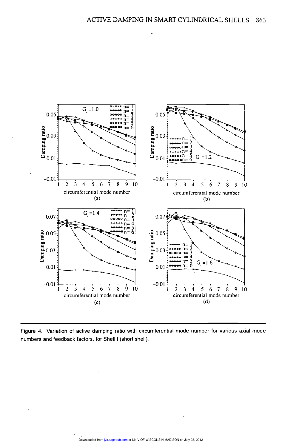

Figure 4. Variation of active damping ratio with circumferential mode number for various axial mode numbers and feedback factors, for Shell I (short shell).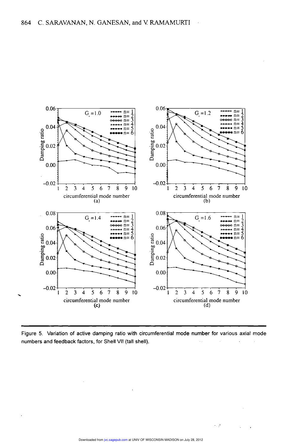

Figure 5. Variation of active damping ratio with circumferential mode number for various axial mode numbers and feedback factors, for Shell VII (tall shell).

-. P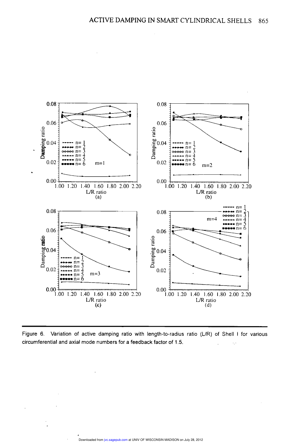

Figure 6. Variation of active damping ratio with length-to-radius ratio (L/R) of Shell I for various circumferential and axial mode numbers for a feedback factor of 1.5.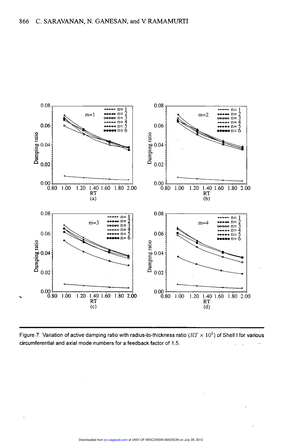

Figure 7. Variation of active damping ratio with radius-to-thickness ratio ( $RT \times 10^2$ ) of Shell I for various circumferential and axial mode numbers for a feedback factor of 1.5.  $\epsilon^{\frac{1}{2}}$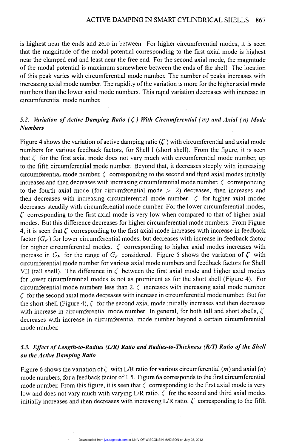is highest near the ends and zero in between. For higher circumferential modes, it is seen that the magnitude of the modal potential corresponding to the first axial mode is highest near the clamped end and least near the free end. For the second axial mode, the magnitude of the modal potential is maximum somewhere between the ends of the shell. The location of this peak varies with circumferential mode number. The number of peaks increases with increasing axial mode number. The rapidity of the variation is more for the higher axial mode numbers than the lower axial mode numbers. This rapid variation decreases with increase in circumferential mode number.

### 5.2. Variation of Active Damping Ratio  $(\zeta)$  With Circumferential (*m*) and Axial (*n*) Mode Numbers

Figure 4 shows the variation of active damping ratio ( $\zeta$ ) with circumferential and axial mode numbers for various feedback factors, for Shell <sup>I</sup>(short shell). From the figure, it is seen that  $\zeta$  for the first axial mode does not vary much with circumferential mode number, up to the fifth circumferential mode number. Beyond that, it decreases steeply with increasing circumferential mode number.  $\zeta$  corresponding to the second and third axial modes initially increases and then decreases with increasing circumferential mode number.  $\zeta$  corresponding to the fourth axial mode (for circumferential mode  $> 2$ ) decreases, then increases and then decreases with increasing circumferential mode number.  $\zeta$  for higher axial modes decreases steadily with circumferential mode number. For the lower circumferential modes,  $\zeta$  corresponding to the first axial mode is very low when compared to that of higher axial modes. But this difference decreases for higher circumferential mode numbers. From Figure 4, it is seen that  $\zeta$  corresponding to the first axial mode increases with increase in feedback factor  $(G_F)$  for lower circumferential modes, but decreases with increase in feedback factor for higher circumferential modes.  $\zeta$  corresponding to higher axial modes increases with increase in  $G_F$  for the range of  $G_F$  considered. Figure 5 shows the variation of  $\zeta$  with circumferential mode number for various axial mode numbers and feedback factors for Shell VII (tall shell). The difference in  $\zeta$  between the first axial mode and higher axial modes for lower circumferential modes is not as prominent as for the short shell (Figure 4). For circumferential mode numbers less than 2,  $\zeta$  increases with increasing axial mode number.  $\zeta$  for the second axial mode decreases with increase in circumferential mode number. But for the short shell (Figure 4),  $\zeta$  for the second axial mode initially increases and then decreases with increase in circumferential mode number. In general, for both tall and short shells,  $\zeta$ decreases with increase in circumferential mode number beyond a certain circumferential mode number.

### 5.3. Effect of Length-to-Radius (L/R) Ratio and Radius-to-Thickness (R/T) Ratio of the Shell on the Active Damping Ratio

Figure 6 shows the variation of  $\zeta$  with L/R ratio for various circumferential (*m*) and axial (*n*) mode numbers, for a feedback factor of 1.5. Figure 6a corresponds to the first circumferential mode number. From this figure, it is seen that  $\zeta$  corresponding to the first axial mode is very low and does not vary much with varying  $L/R$  ratio.  $\zeta$  for the second and third axial modes initially increases and then decreases with increasing L/R ratio.  $\zeta$  corresponding to the fifth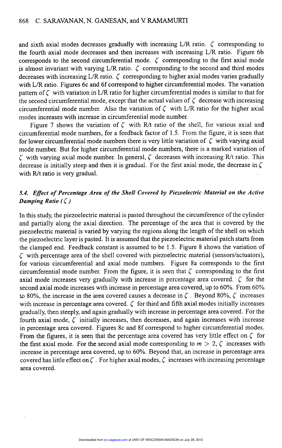and sixth axial modes decreases gradually with increasing L/R ratio.  $\zeta$  corresponding to the fourth axial mode decreases and then increases with increasing L/R ratio. Figure 6b corresponds to the second circumferential mode.  $\zeta$  corresponding to the first axial mode is almost invariant with varying L/R ratio.  $\zeta$  corresponding to the second and third modes decreases with increasing  $L/R$  ratio.  $\zeta$  corresponding to higher axial modes varies gradually with L/R ratio. Figures 6c and 6f correspond to higher circumferential modes. The variation pattern of  $\zeta$  with variation in L/R ratio for higher circumferential modes is similar to that for the second circumferential mode, except that the actual values of  $\zeta$  decrease with increasing circumferential mode number. Also the variation of  $\zeta$  with L/R ratio for the higher axial modes increases with increase in circumferential mode number.

Figure 7 shows the variation of  $\zeta$  with R/t ratio of the shell, for various axial and circumferential mode numbers, for a feedback factor of 1.5. From the figure, it is seen that for lower circumferential mode numbers there is very little variation of  $\zeta$  with varying axial mode number. But for higher circumferential mode numbers, there is a marked variation of  $\zeta$  with varying axial mode number. In general,  $\zeta$  decreases with increasing R/t ratio. This decrease is initially steep and then it is gradual. For the first axial mode, the decrease in  $\zeta$ with R/t ratio is very gradual.

## 5.4. Effect of Percentage Area of the Shell Covered by Piezoelectric Material on the Active Damping Ratio  $(\zeta)$

In this study, the piezoelectric material is pasted throughout the circumference of the cylinder and partially along the axial direction. The percentage of the area that is covered by the piezoelectric material is varied by varying the regions along the length of the shell on which the piezoelectric layer is pasted. It is assumed that the piezoelectric material patch starts from the clamped end. Feedback constant is assumed to be 1.5. Figure 8 shows the variation of  $\zeta$  with percentage area of the shell covered with piezoelectric material (sensors/actuators), for various circumferential and axial mode numbers. Figure 8a corresponds to the first circumferential mode number. From the figure, it is seen that  $\zeta$  corresponding to the first axial mode increases very gradually with increase in percentage area covered.  $\zeta$  for the second axial mode increases with increase in percentage area covered, up to 60%. From 60% to 80%, the increase in the area covered causes a decrease in  $\zeta$ . Beyond 80%,  $\zeta$  increases with increase in percentage area covered.  $\zeta$  for third and fifth axial modes initially increases gradually, then steeply, and again gradually with increase in percentage area covered. For the fourth axial mode,  $\zeta$  initially increases, then decreases, and again increases with increase in percentage area covered. Figures 8c and 8f correspond to higher circumferential modes. From the figures, it is seen that the percentage area covered has very little effect on  $\zeta$  for the first axial mode. For the second axial mode corresponding to  $m > 2, \zeta$  increases with increase in percentage area covered, up to 60%. Beyond that, an increase in percentage area covered has little effect on  $\zeta$ . For higher axial modes,  $\zeta$  increases with increasing percentage area covered.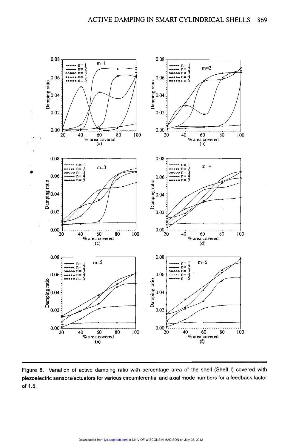

Figure 8. Variation of active damping ratio with percentage area of the shell (Shell I) covered with piezoelectric sensors/actuators for various circumferential and axial mode numbers for a feedback factor of 1.5.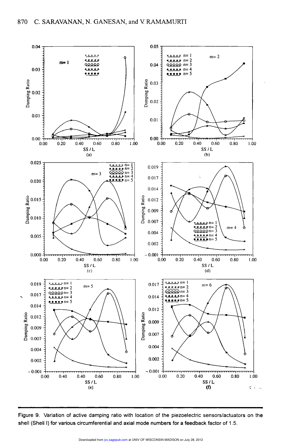

Figure 9. Variation of active damping ratio with location of the piezoelectric sensors/actuators on the shell (Shell I) for various circumferential and axial mode numbers for a feedback factor of 1.5.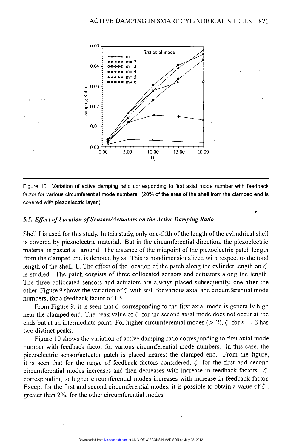

Figure 10. Variation of active damping ratio corresponding to first axial mode number with feedback factor for various circumferential mode numbers. (20% of the area of the shell from the clamped end is covered with piezoelectric layer.).

> ~ ..

#### 5.5. Effect of Location of Sensors/Actuators on the Active Damping Ratio

Shell I is used for this study. In this study, only one-fifth of the length of the cylindrical shell is covered by piezoelectric material. But in the circumferential direction, the piezoelectric material is pasted all around. The distance of the midpoint of the piezoelectric patch length from the clamped end is denoted by ss. This is nondimensionalized with respect to the total length of the shell, L. The effect of the location of the patch along the cylinder length on  $\zeta$ is studied. The patch consists of three collocated sensors and actuators along the length. The three collocated sensors and actuators are always placed subsequently, one after the other. Figure 9 shows the variation of  $\zeta$  with ss/L for various axial and circumferential mode numbers, for a feedback factor of 1.5.

From Figure 9, it is seen that  $\zeta$  corresponding to the first axial mode is generally high near the clamped end. The peak value of  $\zeta$  for the second axial mode does not occur at the ends but at an intermediate point. For higher circumferential modes ( $> 2$ ),  $\zeta$  for  $n=3$  has two distinct peaks.

Figure 10 shows the variation of active damping ratio corresponding to first axial mode number with feedback factor for various circumferential mode numbers. In this case, the piezoelectric sensor/actuator patch is placed nearest the clamped end. From the figure, it is seen that for the range of feedback factors considered,  $\zeta$  for the first and second circumferential modes increases and then decreases with increase in feedback factors.  $\zeta$ corresponding to higher circumferential modes increases with increase in feedback factor. Except for the first and second circumferential modes, it is possible to obtain a value of  $\zeta$ , greater than 2%, for the other circumferential modes.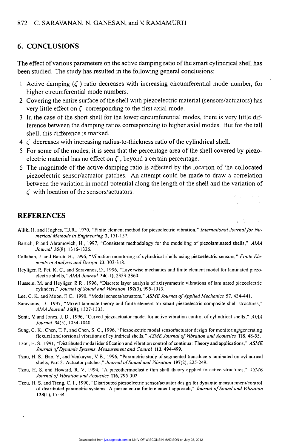### 6. CONCLUSIONS

The effect of various parameters on the active damping ratio of the smart cylindrical shell has been studied. The study has resulted in the following general conclusions:

- 1 Active damping  $(\zeta)$  ratio decreases with increasing circumferential mode number, for higher circumferential mode numbers.
- 2 Covering the entire surface of the shell with piezoelectric material (sensors/actuators) has very little effect on  $\zeta$  corresponding to the first axial mode.
- 3 In the case of the short shell for the lower circumferential modes, there is very little difference between the damping ratios corresponding to higher axial modes. But for the tall shell, this difference is marked.
- $4 \zeta$  decreases with increasing radius-to-thickness ratio of the cylindrical shell.
- 5 For some of the modes, it is seen that the percentage area of the shell covered by piezoelectric material has no effect on  $\zeta$ , beyond a certain percentage.
- <sup>6</sup>The magnitude of the active damping ratio is affected by the location of the collocated piezoelectric sensor/actuator patches. An attempt could be made to draw a correlation between the variation in modal potential along the length of the shell and the variation of

.: , . I', , ....

 $\sim 2$  $\mathcal{F}^{\text{max}}_{\text{max}}$ 

 $\zeta$  with location of the sensors/actuators.

### **REFERENCES**

- Allik, H. and Hughes, TJ.R., 1970, "Finite element method for piezoelectric vibration," International Journal for Numerical Methods in Engineering 2, 151-157.
- Baruch, P. and Abramovich, H., 1997, "Consistent methodology for the modelling of piezolaminated shells," AIAA Journal 35(8), 1316-1326.
- Callahan, J. and Baruh, H., 1996, "Vibration monitoring of cylindrical shells using piezoelectric sensors," Finite Elements in Analysis and Design 23, 303-318.
- Heyliger, P., Pei, K. C., and Saravanos, D., 1996, "Layerwise mechanics and finite element model for laminated piezoelectric shells," AIAA Journal 34(11), 2353-2360.
- Hussein, M. and Heyliger, P. R., 1996, "Discrete layer analysis of axisymmetric vibrations of laminated piezoelectric cylinders," Journal of Sound and Vibration 192(3), 995-1013.
- Lee, C. K. and Moon, F. C., 1990, "Modal sensors/actuators," ASME Journal of Applied Mechanics 57, 434-441.
- Saravanos, D., 1997, "Mixed laminate theory and finite element for smart piezoelectric composite shell structures," AIAA Journal 35(8), 1327-1333.
- Sonti, V and Jones, J. D., 1996, "Curved piezoactuator model for active vibration control of cylindrical shells," AIAA Journal 34(5), 1034-1040.
- Sung, C. K., Chen, T F., and Chen, S. G., 1996, "Piezoelectric modal sensor/actuator design for monitoring/generating flexural and torsional vibrations of cylindrical shells," ASME Journal of Vibration and Acoustics 118, 48-55.
- Tzou, H. S., 1991, "Distributed modal identification and vibration control of continua: Theory and applications," ASME Journal of Dynamic Systems, Measurement and Control 113 , 494-499.
- Tzou, H. S., Bao, Y, and Venkayya, V B., 1996, "Parametric study of segmented transducers laminated on cylindrical shells, Part 2: Actuator patches," Journal of Sound and Vibration 197(2), 225-249.
- Tzou, H. S. and Howard, R. V., 1994, "A piezothermoelastic thin shell theory applied to active structures," ASME<br>Journal of Vibration and Acoustics 116, 295-302.
- Tzou, H. S. and Tseng, C. I., 1990, "Distributed piezoelectric sensor/actuator design for dynamic measurement/control of distributed parametric systems: A piezoelectric finite element approach," Journal of Sound and Vibration 138 (1), 17-34.